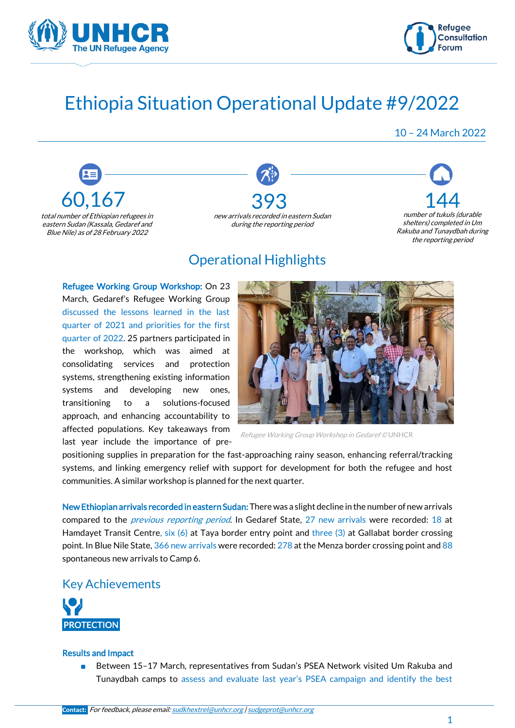



## Ethiopia Situation Operational Update #9/2022

10 – 24 March 2022







## Operational Highlights

Refugee Working Group Workshop: On 23 March, Gedaref's Refugee Working Group discussed the lessons learned in the last quarter of 2021 and priorities for the first quarter of 2022. 25 partners participated in the workshop, which was aimed at consolidating services and protection systems, strengthening existing information systems and developing new ones, transitioning to a solutions-focused approach, and enhancing accountability to affected populations. Key takeaways from last year include the importance of pre-



Refugee Working Group Workshop in Gedaref © UNHCR

positioning supplies in preparation for the fast-approaching rainy season, enhancing referral/tracking systems, and linking emergency relief with support for development for both the refugee and host communities. A similar workshop is planned for the next quarter.

New Ethiopian arrivals recorded in eastern Sudan: There was a slight decline in the number of new arrivals compared to the *[previous reporting period](https://eur02.safelinks.protection.outlook.com/?url=https%3A%2F%2Fdata2.unhcr.org%2Fen%2Fdocuments%2Fdetails%2F91641&data=04%7C01%7Ckhaliabd%40unhcr.org%7Ca32418cdacd240370eb108da0fd4143a%7Ce5c37981666441348a0c6543d2af80be%7C0%7C0%7C637839700786692951%7CUnknown%7CTWFpbGZsb3d8eyJWIjoiMC4wLjAwMDAiLCJQIjoiV2luMzIiLCJBTiI6Ik1haWwiLCJXVCI6Mn0%3D%7C3000&sdata=F%2BaEPF%2BukEMzzmb9Uj8rBdksscO283%2FjGlxzE2Tm42k%3D&reserved=0)*. In Gedaref State, 27 new arrivals were recorded: 18 at Hamdayet Transit Centre, six (6) at Taya border entry point and three (3) at Gallabat border crossing point. In Blue Nile State, 366 new arrivals were recorded: 278 at the Menza border crossing point and 88 spontaneous new arrivals to Camp 6.

Key Achievements



#### Results and Impact

■ Between 15-17 March, representatives from Sudan's PSEA Network visited Um Rakuba and Tunaydbah camps to assess and evaluate last year's PSEA campaign and identify the best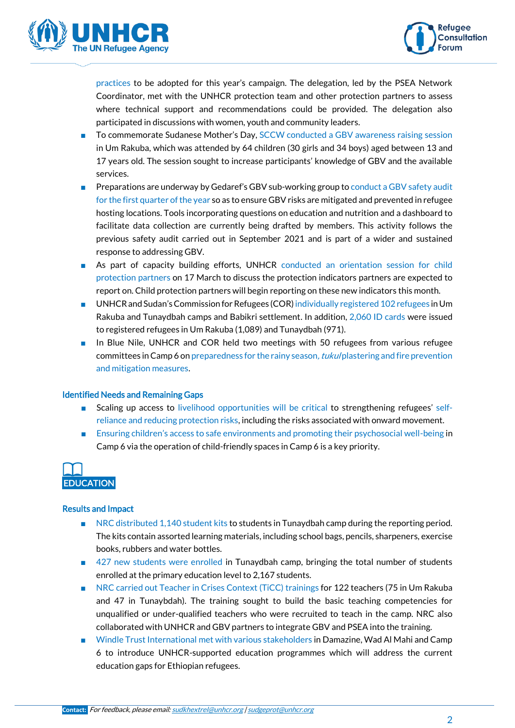



practices to be adopted for this year's campaign. The delegation, led by the PSEA Network Coordinator, met with the UNHCR protection team and other protection partners to assess where technical support and recommendations could be provided. The delegation also participated in discussions with women, youth and community leaders.

- To commemorate Sudanese Mother's Day, SCCW conducted a GBV awareness raising session in Um Rakuba, which was attended by 64 children (30 girls and 34 boys) aged between 13 and 17 years old. The session sought to increase participants' knowledge of GBV and the available services.
- Preparations are underway by Gedaref's GBV sub-working group to conduct a GBV safety audit for the first quarter of the year so as to ensure GBV risks are mitigated and prevented in refugee hosting locations. Tools incorporating questions on education and nutrition and a dashboard to facilitate data collection are currently being drafted by members. This activity follows the previous safety audit carried out in September 2021 and is part of a wider and sustained response to addressing GBV.
- As part of capacity building efforts, UNHCR conducted an orientation session for child protection partners on 17 March to discuss the protection indicators partners are expected to report on. Child protection partners will begin reporting on these new indicators this month.
- UNHCR and Sudan's Commission for Refugees (COR) individually registered 102 refugees in Um Rakuba and Tunaydbah camps and Babikri settlement. In addition, 2,060 ID cards were issued to registered refugees in Um Rakuba (1,089) and Tunaydbah (971).
- In Blue Nile, UNHCR and COR held two meetings with 50 refugees from various refugee committees in Camp 6 on preparedness for the rainy season, *tukul* plastering and fire prevention and mitigation measures.

#### Identified Needs and Remaining Gaps

- Scaling up access to livelihood opportunities will be critical to strengthening refugees' selfreliance and reducing protection risks, including the risks associated with onward movement.
- Ensuring children's access to safe environments and promoting their psychosocial well-being in Camp 6 via the operation of child-friendly spaces in Camp 6 is a key priority.



#### Results and Impact

- NRC distributed 1,140 student kits to students in Tunaydbah camp during the reporting period. The kits contain assorted learning materials, including school bags, pencils, sharpeners, exercise books, rubbers and water bottles.
- 427 new students were enrolled in Tunaydbah camp, bringing the total number of students enrolled at the primary education level to 2,167 students.
- NRC carried out Teacher in Crises Context (TiCC) trainings for 122 teachers (75 in Um Rakuba and 47 in Tunaybdah). The training sought to build the basic teaching competencies for unqualified or under-qualified teachers who were recruited to teach in the camp. NRC also collaborated with UNHCR and GBV partners to integrate GBV and PSEA into the training.
- Windle Trust International met with various stakeholders in Damazine, Wad Al Mahi and Camp 6 to introduce UNHCR-supported education programmes which will address the current education gaps for Ethiopian refugees.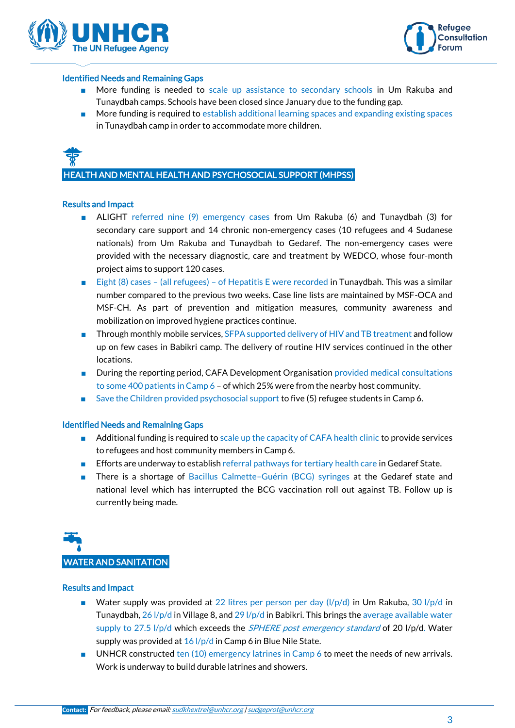



#### Identified Needs and Remaining Gaps

- More funding is needed to scale up assistance to secondary schools in Um Rakuba and Tunaydbah camps. Schools have been closed since January due to the funding gap.
- More funding is required to establish additional learning spaces and expanding existing spaces in Tunaydbah camp in order to accommodate more children.



HEALTH AND MENTAL HEALTH AND PSYCHOSOCIAL SUPPORT (MHPSS)

#### Results and Impact

- ALIGHT referred nine (9) emergency cases from Um Rakuba (6) and Tunaydbah (3) for secondary care support and 14 chronic non-emergency cases (10 refugees and 4 Sudanese nationals) from Um Rakuba and Tunaydbah to Gedaref. The non-emergency cases were provided with the necessary diagnostic, care and treatment by WEDCO, whose four-month project aims to support 120 cases.
- Eight (8) cases (all refugees) of Hepatitis E were recorded in Tunaydbah. This was a similar number compared to the previous two weeks. Case line lists are maintained by MSF-OCA and MSF-CH. As part of prevention and mitigation measures, community awareness and mobilization on improved hygiene practices continue.
- Through monthly mobile services, SFPA supported delivery of HIV and TB treatment and follow up on few cases in Babikri camp. The delivery of routine HIV services continued in the other locations.
- During the reporting period, CAFA Development Organisation provided medical consultations to some 400 patients in Camp 6 – of which 25% were from the nearby host community.
- Save the Children provided psychosocial support to five (5) refugee students in Camp 6.

#### Identified Needs and Remaining Gaps

- Additional funding is required to scale up the capacity of CAFA health clinic to provide services to refugees and host community members in Camp 6.
- Efforts are underway to establish referral pathways for tertiary health care in Gedaref State.
- There is a shortage of Bacillus Calmette-Guérin (BCG) syringes at the Gedaref state and national level which has interrupted the BCG vaccination roll out against TB. Follow up is currently being made.



#### Results and Impact

- Water supply was provided at 22 litres per person per day  $(I/p/d)$  in Um Rakuba, 30  $I/p/d$  in Tunaydbah, 26 l/p/d in Village 8, and 29 l/p/d in Babikri. This brings the average available water supply to 27.5 l/p/d which exceeds the *[SPHERE post emergency standard](https://spherestandards.org/)* of 20 l/p/d. Water supply was provided at 16 l/p/d in Camp 6 in Blue Nile State.
- UNHCR constructed ten (10) emergency latrines in Camp 6 to meet the needs of new arrivals. Work is underway to build durable latrines and showers.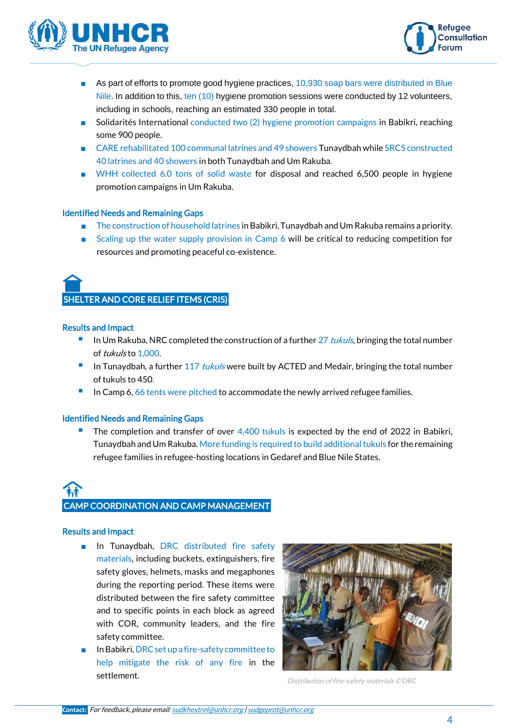



- As part of efforts to promote good hygiene practices, 10,930 soap bars were distributed in Blue Nile. In addition to this, ten (10) hygiene promotion sessions were conducted by 12 volunteers, including in schools, reaching an estimated 330 people in total.
- Solidarités International conducted two (2) hygiene promotion campaigns in Babikri, reaching some 900 people.
- CARE rehabilitated 100 communal latrines and 49 showers Tunaydbah while SRCS constructed 40 latrines and 40 showers in both Tunaydbah and Um Rakuba.
- WHH collected 6.0 tons of solid waste for disposal and reached 6,500 people in hygiene promotion campaigns in Um Rakuba.

#### Identified Needs and Remaining Gaps

- The construction of household latrines in Babikri, Tunaydbah and Um Rakuba remains a priority.
- Scaling up the water supply provision in Camp 6 will be critical to reducing competition for resources and promoting peaceful co-existence.



#### Results and Impact

- **■** In Um Rakuba, NRC completed the construction of a further  $27$  tukuls, bringing the total number of tukuls to 1,000.
- In Tunaydbah, a further  $117$  tukuls were built by ACTED and Medair, bringing the total number of tukuls to 450.
- In Camp 6, 66 tents were pitched to accommodate the newly arrived refugee families.

#### Identified Needs and Remaining Gaps

The completion and transfer of over 4,400 tukuls is expected by the end of 2022 in Babikri, Tunaydbah and Um Rakuba. More funding is required to build additional tukuls for the remaining refugee families in refugee-hosting locations in Gedaref and Blue Nile States.

## Ĭ CAMP COORDINATION AND CAMP MANAGEMENT

#### Results and Impact

- In Tunaydbah, DRC distributed fire safety materials, including buckets, extinguishers, fire safety gloves, helmets, masks and megaphones during the reporting period. These items were distributed between the fire safety committee and to specific points in each block as agreed with COR, community leaders, and the fire safety committee.
- In Babikri, DRC set up a fire-safety committee to help mitigate the risk of any fire in the settlement.<br>
Distribution of fire-safety materials © DRC

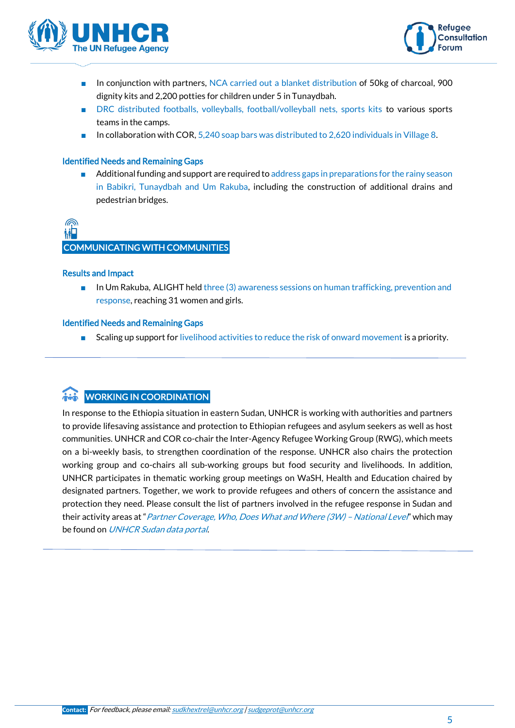



- In conjunction with partners, NCA carried out a blanket distribution of 50kg of charcoal, 900 dignity kits and 2,200 potties for children under 5 in Tunaydbah.
- DRC distributed footballs, volleyballs, football/volleyball nets, sports kits to various sports teams in the camps.
- In collaboration with COR, 5,240 soap bars was distributed to 2,620 individuals in Village 8.

#### Identified Needs and Remaining Gaps

Additional funding and support are required to address gaps in preparations for the rainy season in Babikri, Tunaydbah and Um Rakuba, including the construction of additional drains and pedestrian bridges.

# COMMUNICATING WITH COMMUNITIES

#### Results and Impact

■ In Um Rakuba, ALIGHT held three (3) awareness sessions on human trafficking, prevention and response, reaching 31 women and girls.

#### Identified Needs and Remaining Gaps

■ Scaling up support for livelihood activities to reduce the risk of onward movement is a priority.

### WORKING IN COORDINATION

In response to the Ethiopia situation in eastern Sudan, UNHCR is working with authorities and partners to provide lifesaving assistance and protection to Ethiopian refugees and asylum seekers as well as host communities. UNHCR and COR co-chair the Inter-Agency Refugee Working Group (RWG), which meets on a bi-weekly basis, to strengthen coordination of the response. UNHCR also chairs the protection working group and co-chairs all sub-working groups but food security and livelihoods. In addition, UNHCR participates in thematic working group meetings on WaSH, Health and Education chaired by designated partners. Together, we work to provide refugees and others of concern the assistance and protection they need. Please consult the list of partners involved in the refugee response in Sudan and their activity areas at "[Partner Coverage, Who, Does What and Where \(3W\)](https://data2.unhcr.org/en/documents/details/90948) - National Level" which may be found on [UNHCR Sudan data portal](https://data2.unhcr.org/en/country/sdn).